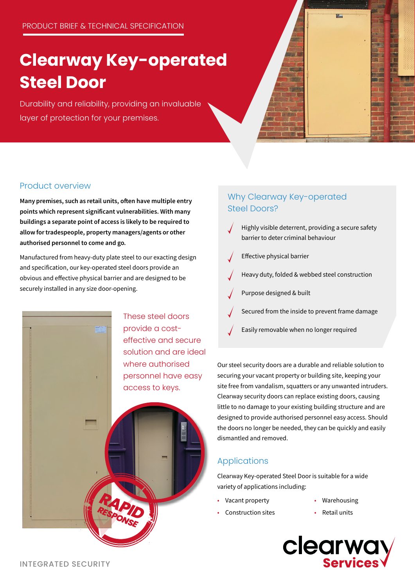# **Clearway Key-operated Steel Door**

Durability and reliability, providing an invaluable layer of protection for your premises.

### Product overview

Many premises, such as retail units, often have multiple entry points which represent significant vulnerabilities. With many buildings a separate point of access is likely to be required to allow for tradespeople, property managers/agents or other authorised personnel to come and go.

Manufactured from heavy-duty plate steel to our exacting design and specification, our key-operated steel doors provide an obvious and effective physical barrier and are designed to be securely installed in any size door-opening.

> *RAPID RESPONSE*

These steel doors provide a costeffective and secure solution and are ideal where authorised personnel have easy access to keys.

### Why Clearway Key-operated Steel Doors?

- Highly visible deterrent, providing a secure safety barrier to deter criminal behaviour
- Effective physical barrier
- Heavy duty, folded & webbed steel construction
- Purpose designed & built
- Secured from the inside to prevent frame damage
- Easily removable when no longer required

Our steel security doors are a durable and reliable solution to securing your vacant property or building site, keeping your site free from vandalism, squatters or any unwanted intruders. Clearway security doors can replace existing doors, causing little to no damage to your existing building structure and are designed to provide authorised personnel easy access. Should the doors no longer be needed, they can be quickly and easily dismantled and removed.

### Applications

Clearway Key-operated Steel Door is suitable for a wide variety of applications including:

- Vacant property
- Warehousing
- Construction sites
- Retail units